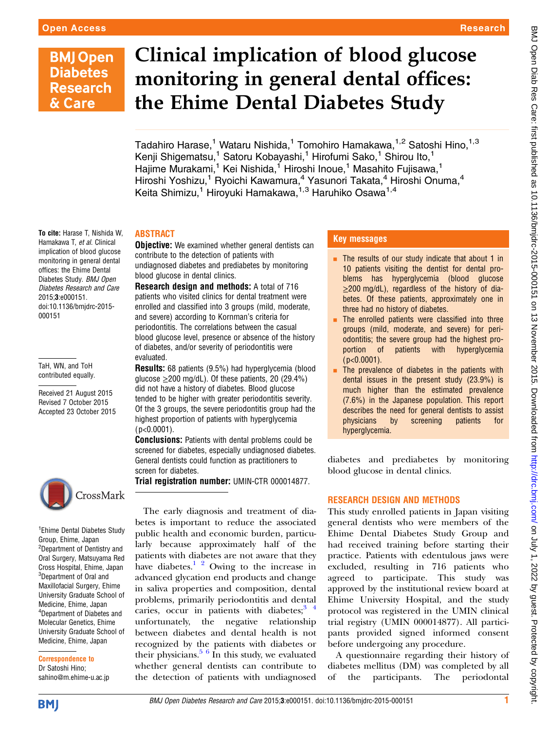# **BMJ Open Diabetes Research** & Care

# Clinical implication of blood glucose monitoring in general dental offices: the Ehime Dental Diabetes Study

Tadahiro Harase,<sup>1</sup> Wataru Nishida,<sup>1</sup> Tomohiro Hamakawa,<sup>1,2</sup> Satoshi Hino,<sup>1,3</sup> Kenji Shigematsu,<sup>1</sup> Satoru Kobayashi,<sup>1</sup> Hirofumi Sako,<sup>1</sup> Shirou Ito,<sup>1</sup> Hajime Murakami,<sup>1</sup> Kei Nishida,<sup>1</sup> Hiroshi Inoue,<sup>1</sup> Masahito Fujisawa,<sup>1</sup> Hiroshi Yoshizu,<sup>1</sup> Ryoichi Kawamura,<sup>4</sup> Yasunori Takata,<sup>4</sup> Hiroshi Onuma,<sup>4</sup> Keita Shimizu,<sup>1</sup> Hiroyuki Hamakawa,<sup>1,3</sup> Haruhiko Osawa<sup>1,4</sup>

#### To cite: Harase T, Nishida W, Hamakawa T, et al. Clinical implication of blood glucose monitoring in general dental offices: the Ehime Dental Diabetes Study. BMJ Open Diabetes Research and Care 2015;3:e000151. doi:10.1136/bmjdrc-2015- 000151

TaH, WN, and ToH contributed equally.

Received 21 August 2015 Revised 7 October 2015 Accepted 23 October 2015



<sup>1</sup> Ehime Dental Diabetes Study Group, Ehime, Japan <sup>2</sup>Department of Dentistry and Oral Surgery, Matsuyama Red Cross Hospital, Ehime, Japan <sup>3</sup>Department of Oral and Maxillofacial Surgery, Ehime University Graduate School of Medicine, Ehime, Japan <sup>4</sup>Department of Diabetes and Molecular Genetics, Ehime University Graduate School of Medicine, Ehime, Japan

Correspondence to Dr Satoshi Hino; sahino@m.ehime-u.ac.jp

**BMJ** 

## ABSTRACT

**Objective:** We examined whether general dentists can contribute to the detection of patients with undiagnosed diabetes and prediabetes by monitoring blood glucose in dental clinics.

Research design and methods: A total of 716 patients who visited clinics for dental treatment were enrolled and classified into 3 groups (mild, moderate, and severe) according to Kornman's criteria for periodontitis. The correlations between the casual blood glucose level, presence or absence of the history of diabetes, and/or severity of periodontitis were evaluated.

Results: 68 patients (9.5%) had hyperglycemia (blood glucose  $\geq$ 200 mg/dL). Of these patients, 20 (29.4%) did not have a history of diabetes. Blood glucose tended to be higher with greater periodontitis severity. Of the 3 groups, the severe periodontitis group had the highest proportion of patients with hyperglycemia ( p<0.0001).

**Conclusions:** Patients with dental problems could be screened for diabetes, especially undiagnosed diabetes. General dentists could function as practitioners to screen for diabetes.

Trial registration number: UMIN-CTR 000014877.

The early diagnosis and treatment of diabetes is important to reduce the associated public health and economic burden, particularly because approximately half of the patients with diabetes are not aware that they have diabetes.<sup>[1 2](#page-2-0)</sup> Owing to the increase in advanced glycation end products and change in saliva properties and composition, dental problems, primarily periodontitis and dental caries, occur in patients with diabetes;  $3<sup>4</sup>$ unfortunately, the negative relationship between diabetes and dental health is not recognized by the patients with diabetes or their physicians. $5\frac{6}{1}$  In this study, we evaluated whether general dentists can contribute to the detection of patients with undiagnosed

#### Key messages

- **EXTERG** The results of our study indicate that about 1 in 10 patients visiting the dentist for dental problems has hyperglycemia (blood glucose ≥200 mg/dL), regardless of the history of diabetes. Of these patients, approximately one in three had no history of diabetes.
- The enrolled patients were classified into three groups (mild, moderate, and severe) for periodontitis; the severe group had the highest proportion of patients with hyperglycemia  $(p<0.0001)$ .
- The prevalence of diabetes in the patients with dental issues in the present study (23.9%) is much higher than the estimated prevalence (7.6%) in the Japanese population. This report describes the need for general dentists to assist physicians by screening patients for hyperglycemia.

diabetes and prediabetes by monitoring blood glucose in dental clinics.

### RESEARCH DESIGN AND METHODS

This study enrolled patients in Japan visiting general dentists who were members of the Ehime Dental Diabetes Study Group and had received training before starting their practice. Patients with edentulous jaws were excluded, resulting in 716 patients who agreed to participate. This study was approved by the institutional review board at Ehime University Hospital, and the study protocol was registered in the UMIN clinical trial registry (UMIN 000014877). All participants provided signed informed consent before undergoing any procedure.

A questionnaire regarding their history of diabetes mellitus (DM) was completed by all of the participants. The periodontal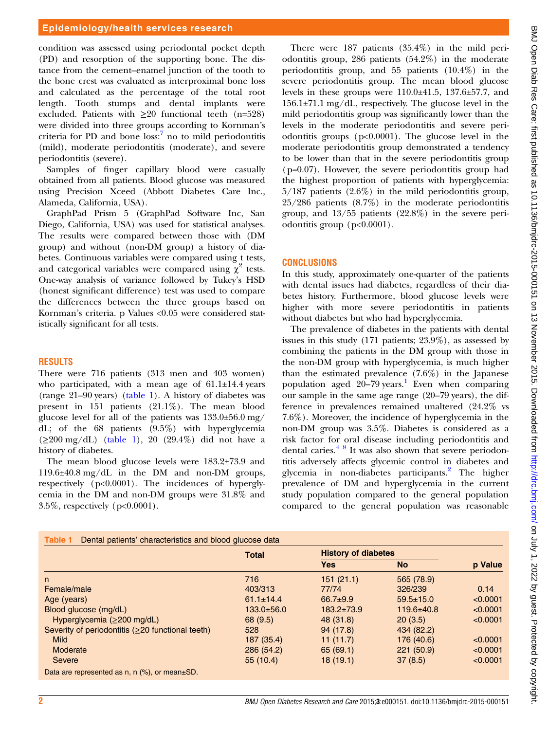condition was assessed using periodontal pocket depth (PD) and resorption of the supporting bone. The distance from the cement–enamel junction of the tooth to the bone crest was evaluated as interproximal bone loss and calculated as the percentage of the total root length. Tooth stumps and dental implants were excluded. Patients with  $\geq 20$  functional teeth (n=528) were divided into three groups according to Kornman's criteria for PD and bone  $loss<sup>7</sup>$  $loss<sup>7</sup>$  $loss<sup>7</sup>$  no to mild periodontitis (mild), moderate periodontitis (moderate), and severe periodontitis (severe).

Samples of finger capillary blood were casually obtained from all patients. Blood glucose was measured using Precision Xceed (Abbott Diabetes Care Inc., Alameda, California, USA).

GraphPad Prism 5 (GraphPad Software Inc, San Diego, California, USA) was used for statistical analyses. The results were compared between those with (DM group) and without (non-DM group) a history of diabetes. Continuous variables were compared using t tests, and categorical variables were compared using  $\chi^2$  tests. One-way analysis of variance followed by Tukey's HSD (honest significant difference) test was used to compare the differences between the three groups based on Kornman's criteria. p Values <0.05 were considered statistically significant for all tests.

#### RESULTS

There were 716 patients (313 men and 403 women) who participated, with a mean age of  $61.1\pm14.4$  years (range 21–90 years) (table 1). A history of diabetes was present in 151 patients (21.1%). The mean blood glucose level for all of the patients was 133.0±56.0 mg/ dL; of the 68 patients (9.5%) with hyperglycemia  $(\geq 200 \text{ mg/dL})$  (table 1), 20 (29.4%) did not have a history of diabetes.

The mean blood glucose levels were 183.2±73.9 and 119.6±40.8 mg/dL in the DM and non-DM groups, respectively (p<0.0001). The incidences of hyperglycemia in the DM and non-DM groups were 31.8% and 3.5%, respectively (p<0.0001).

There were 187 patients (35.4%) in the mild periodontitis group, 286 patients (54.2%) in the moderate periodontitis group, and 55 patients (10.4%) in the severe periodontitis group. The mean blood glucose levels in these groups were 110.0±41.5, 137.6±57.7, and 156.1±71.1 mg/dL, respectively. The glucose level in the mild periodontitis group was significantly lower than the levels in the moderate periodontitis and severe periodontitis groups (p<0.0001). The glucose level in the moderate periodontitis group demonstrated a tendency to be lower than that in the severe periodontitis group  $(p=0.07)$ . However, the severe periodontitis group had the highest proportion of patients with hyperglycemia:  $5/187$  patients  $(2.6\%)$  in the mild periodontitis group, 25/286 patients (8.7%) in the moderate periodontitis group, and 13/55 patients (22.8%) in the severe periodontitis group (p<0.0001).

#### **CONCLUSIONS**

In this study, approximately one-quarter of the patients with dental issues had diabetes, regardless of their diabetes history. Furthermore, blood glucose levels were higher with more severe periodontitis in patients without diabetes but who had hyperglycemia.

The prevalence of diabetes in the patients with dental issues in this study (171 patients; 23.9%), as assessed by combining the patients in the DM group with those in the non-DM group with hyperglycemia, is much higher than the estimated prevalence (7.6%) in the Japanese population aged  $20-79$  years.<sup>[1](#page-2-0)</sup> Even when comparing our sample in the same age range (20–79 years), the difference in prevalences remained unaltered (24.2% vs 7.6%). Moreover, the incidence of hyperglycemia in the non-DM group was 3.5%. Diabetes is considered as a risk factor for oral disease including periodontitis and dental caries. $48$  It was also shown that severe periodontitis adversely affects glycemic control in diabetes and glycemia in non-diabetes participants.<sup>[2](#page-2-0)</sup> The higher prevalence of DM and hyperglycemia in the current study population compared to the general population compared to the general population was reasonable

|                                                         | <b>Total</b>     | <b>History of diabetes</b> |                  |          |
|---------------------------------------------------------|------------------|----------------------------|------------------|----------|
|                                                         |                  | <b>Yes</b>                 | <b>No</b>        | p Value  |
| n                                                       | 716              | 151(21.1)                  | 565 (78.9)       |          |
| Female/male                                             | 403/313          | 77/74                      | 326/239          | 0.14     |
| Age (years)                                             | $61.1 \pm 14.4$  | $66.7 + 9.9$               | $59.5 \pm 15.0$  | < 0.0001 |
| Blood glucose (mg/dL)                                   | $133.0 \pm 56.0$ | $183.2 \pm 73.9$           | $119.6 \pm 40.8$ | < 0.0001 |
| Hyperglycemia $(≥200$ mg/dL)                            | 68 (9.5)         | 48 (31.8)                  | 20(3.5)          | < 0.0001 |
| Severity of periodontitis ( $\geq$ 20 functional teeth) | 528              | 94(17.8)                   | 434 (82.2)       |          |
| <b>Mild</b>                                             | 187 (35.4)       | 11(11.7)                   | 176 (40.6)       | < 0.0001 |
| Moderate                                                | 286 (54.2)       | 65 (69.1)                  | 221(50.9)        | < 0.0001 |
| Severe                                                  | 55(10.4)         | 18(19.1)                   | 37(8.5)          | < 0.0001 |

BMJ Open Diab Res Care: first published as 10.1136/bmjdrc-2015-00015-0015-00015 on 13 November 2015. Downloaded from http://drc.bmj.com/ on July 1, 2022 by guest. Protected by copyright. BMJ Open Diab Res Care: first published as 10.1136/bmjdrc-2015-000151 on 13 November 2015. Downloaded from bumi BMJ Open Diab Res Care: First published ay copyright.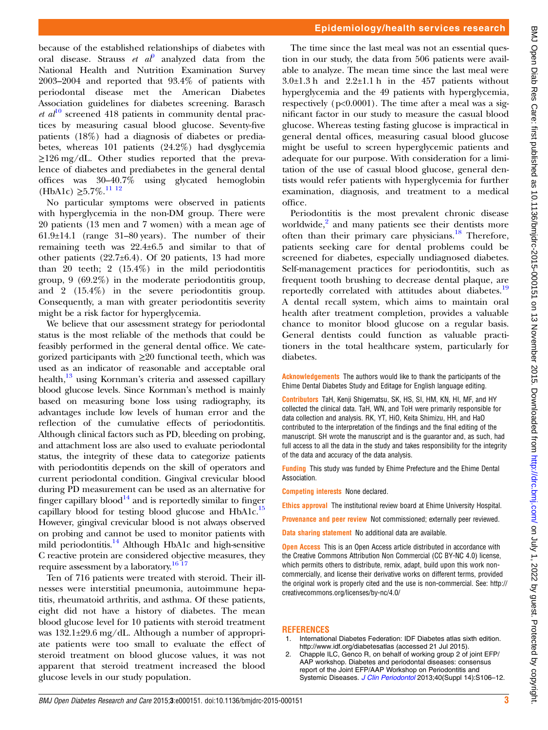finger capillary blood<sup>14</sup> and is reportedly similar to finger capillary blood for testing blood glucose and HbA1c.<sup>[15](#page-3-0)</sup> However, gingival crevicular blood is not always observed on probing and cannot be used to monitor patients with mild periodontitis.<sup>[14](#page-3-0)</sup> Although HbA1c and high-sensitive

<span id="page-2-0"></span>because of the established relationships of diabetes with oral disease. Strauss *et a* $\ell$  analyzed data from the National Health and Nutrition Examination Survey 2003–2004 and reported that 93.4% of patients with periodontal disease met the American Diabetes Association guidelines for diabetes screening. Barasch *et al*<sup>[10](#page-3-0)</sup> screened 418 patients in community dental practices by measuring casual blood glucose. Seventy-five patients (18%) had a diagnosis of diabetes or prediabetes, whereas 101 patients (24.2%) had dysglycemia  $\geq$ 126 mg/dL. Other studies reported that the prevalence of diabetes and prediabetes in the general dental offices was 30–40.7% using glycated hemoglobin

No particular symptoms were observed in patients with hyperglycemia in the non-DM group. There were 20 patients (13 men and 7 women) with a mean age of  $61.9\pm14.1$  (range 31–80 years). The number of their remaining teeth was 22.4±6.5 and similar to that of other patients (22.7±6.4). Of 20 patients, 13 had more than 20 teeth; 2  $(15.4\%)$  in the mild periodontitis group,  $9(69.2\%)$  in the moderate periodontitis group, and 2 (15.4%) in the severe periodontitis group. Consequently, a man with greater periodontitis severity

We believe that our assessment strategy for periodontal status is the most reliable of the methods that could be feasibly performed in the general dental office. We categorized participants with  $\geq 20$  functional teeth, which was used as an indicator of reasonable and acceptable oral health,<sup>13</sup> using Kornman's criteria and assessed capillary blood glucose levels. Since Kornman's method is mainly based on measuring bone loss using radiography, its advantages include low levels of human error and the reflection of the cumulative effects of periodontitis. Although clinical factors such as PD, bleeding on probing, and attachment loss are also used to evaluate periodontal status, the integrity of these data to categorize patients with periodontitis depends on the skill of operators and current periodontal condition. Gingival crevicular blood during PD measurement can be used as an alternative for

might be a risk factor for hyperglycemia.

(HbA1c)  $\geq 5.7\%$ .<sup>[11 12](#page-3-0)</sup>

C reactive protein are considered objective measures, they require assessment by a laboratory.<sup>[16 17](#page-3-0)</sup>

Ten of 716 patients were treated with steroid. Their illnesses were interstitial pneumonia, autoimmune hepatitis, rheumatoid arthritis, and asthma. Of these patients, eight did not have a history of diabetes. The mean blood glucose level for 10 patients with steroid treatment was 132.1±29.6 mg/dL. Although a number of appropriate patients were too small to evaluate the effect of steroid treatment on blood glucose values, it was not apparent that steroid treatment increased the blood glucose levels in our study population.

#### Epidemiology/health services research

The time since the last meal was not an essential question in our study, the data from 506 patients were available to analyze. The mean time since the last meal were  $3.0\pm1.3$  h and  $2.2\pm1.1$  h in the 457 patients without hyperglycemia and the 49 patients with hyperglycemia, respectively (p<0.0001). The time after a meal was a significant factor in our study to measure the casual blood glucose. Whereas testing fasting glucose is impractical in general dental offices, measuring casual blood glucose might be useful to screen hyperglycemic patients and adequate for our purpose. With consideration for a limitation of the use of casual blood glucose, general dentists would refer patients with hyperglycemia for further examination, diagnosis, and treatment to a medical office.

Periodontitis is the most prevalent chronic disease worldwide, $\frac{2}{3}$  and many patients see their dentists more often than their primary care physicians. $18$  Therefore, patients seeking care for dental problems could be screened for diabetes, especially undiagnosed diabetes. Self-management practices for periodontitis, such as frequent tooth brushing to decrease dental plaque, are reportedly correlated with attitudes about diabetes.<sup>[19](#page-3-0)</sup> A dental recall system, which aims to maintain oral health after treatment completion, provides a valuable chance to monitor blood glucose on a regular basis. General dentists could function as valuable practitioners in the total healthcare system, particularly for diabetes.

Acknowledgements The authors would like to thank the participants of the Ehime Dental Diabetes Study and Editage for English language editing.

Contributors TaH, Kenji Shigematsu, SK, HS, SI, HM, KN, HI, MF, and HY collected the clinical data. TaH, WN, and ToH were primarily responsible for data collection and analysis. RK, YT, HiO, Keita Shimizu, HH, and HaO contributed to the interpretation of the findings and the final editing of the manuscript. SH wrote the manuscript and is the guarantor and, as such, had full access to all the data in the study and takes responsibility for the integrity of the data and accuracy of the data analysis.

Funding This study was funded by Ehime Prefecture and the Ehime Dental Association.

Competing interests None declared.

Ethics approval The institutional review board at Ehime University Hospital.

Provenance and peer review Not commissioned; externally peer reviewed.

Data sharing statement No additional data are available.

**Open Access** This is an Open Access article distributed in accordance with the Creative Commons Attribution Non Commercial (CC BY-NC 4.0) license, which permits others to distribute, remix, adapt, build upon this work noncommercially, and license their derivative works on different terms, provided the original work is properly cited and the use is non-commercial. See: [http://](http://creativecommons.org/licenses/by-nc/4.0/) [creativecommons.org/licenses/by-nc/4.0/](http://creativecommons.org/licenses/by-nc/4.0/)

#### **REFERENCES**

- 1. International Diabetes Federation: IDF Diabetes atlas sixth edition. <http://www.idf.org/diabetesatlas> (accessed 21 Jul 2015).
- 2. Chapple ILC, Genco R, on behalf of working group 2 of joint EFP/ AAP workshop. Diabetes and periodontal diseases: consensus report of the Joint EFP/AAP Workshop on Periodontitis and Systemic Diseases. [J Clin Periodontol](http://dx.doi.org/10.1111/jcpe.12077) 2013;40(Suppl 14):S106-12.